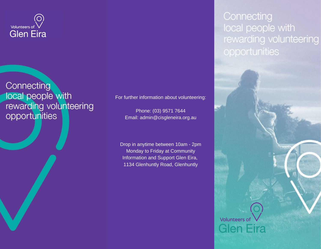

Connecting local people with rewarding volunteering opportunities

For further information about volunteering:

Phone: (03) 9571 7644 Email: admin@cisgleneira.org.au

Drop in anytime between 10am - 2pm Monday to Friday at Community Information and Support Glen Eira, 1134 Glenhuntly Road, Glenhuntly

Connecting local people with rewarding volunteering opportunities

**Volunteers of** 

Glen Eira